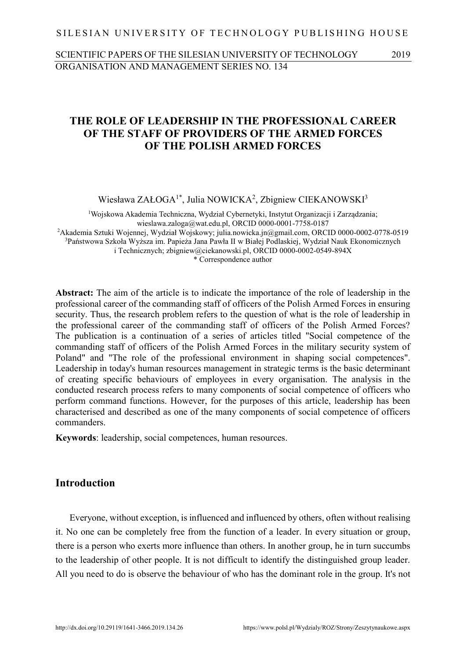#### SILESIAN UNIVERSITY OF TECHNOLOGY PUBLISHING HOUSE

## SCIENTIFIC PAPERS OF THE SILESIAN UNIVERSITY OF TECHNOLOGY 2019 ORGANISATION AND MANAGEMENT SERIES NO. 134

# **THE ROLE OF LEADERSHIP IN THE PROFESSIONAL CAREER OF THE STAFF OF PROVIDERS OF THE ARMED FORCES OF THE POLISH ARMED FORCES**

Wiesława ZAŁOGA<sup>1\*</sup>, Julia NOWICKA<sup>2</sup>, Zbigniew CIEKANOWSKI<sup>3</sup>

<sup>1</sup>Wojskowa Akademia Techniczna, Wydział Cybernetyki, Instytut Organizacji i Zarządzania; wieslawa.zaloga@wat.edu.pl, ORCID 0000-0001-7758-0187 <sup>2</sup>Akademia Sztuki Wojennej, Wydział Wojskowy; [julia.nowicka.jn@gmail.com,](mailto:julia.nowicka.jn@gmail.com) ORCID 0000-0002-0778-0519 <sup>3</sup>Państwowa Szkoła Wyższa im. Papieża Jana Pawła II w Białej Podlaskiej, Wydział Nauk Ekonomicznych i Technicznych; [zbigniew@ciekanowski.pl,](mailto:zbigniew@ciekanowski.pl) ORCID 0000-0002-0549-894X \* Correspondence author

**Abstract:** The aim of the article is to indicate the importance of the role of leadership in the professional career of the commanding staff of officers of the Polish Armed Forces in ensuring security. Thus, the research problem refers to the question of what is the role of leadership in the professional career of the commanding staff of officers of the Polish Armed Forces? The publication is a continuation of a series of articles titled "Social competence of the commanding staff of officers of the Polish Armed Forces in the military security system of Poland" and "The role of the professional environment in shaping social competences". Leadership in today's human resources management in strategic terms is the basic determinant of creating specific behaviours of employees in every organisation. The analysis in the conducted research process refers to many components of social competence of officers who perform command functions. However, for the purposes of this article, leadership has been characterised and described as one of the many components of social competence of officers commanders.

**Keywords**: leadership, social competences, human resources.

## **Introduction**

Everyone, without exception, is influenced and influenced by others, often without realising it. No one can be completely free from the function of a leader. In every situation or group, there is a person who exerts more influence than others. In another group, he in turn succumbs to the leadership of other people. It is not difficult to identify the distinguished group leader. All you need to do is observe the behaviour of who has the dominant role in the group. It's not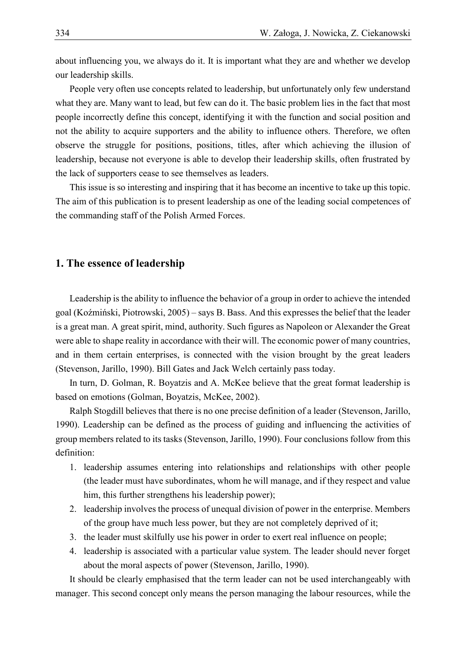about influencing you, we always do it. It is important what they are and whether we develop our leadership skills.

People very often use concepts related to leadership, but unfortunately only few understand what they are. Many want to lead, but few can do it. The basic problem lies in the fact that most people incorrectly define this concept, identifying it with the function and social position and not the ability to acquire supporters and the ability to influence others. Therefore, we often observe the struggle for positions, positions, titles, after which achieving the illusion of leadership, because not everyone is able to develop their leadership skills, often frustrated by the lack of supporters cease to see themselves as leaders.

This issue is so interesting and inspiring that it has become an incentive to take up this topic. The aim of this publication is to present leadership as one of the leading social competences of the commanding staff of the Polish Armed Forces.

### **1. The essence of leadership**

Leadership is the ability to influence the behavior of a group in order to achieve the intended goal (Koźmiński, Piotrowski, 2005) – says B. Bass. And this expresses the belief that the leader is a great man. A great spirit, mind, authority. Such figures as Napoleon or Alexander the Great were able to shape reality in accordance with their will. The economic power of many countries, and in them certain enterprises, is connected with the vision brought by the great leaders (Stevenson, Jarillo, 1990). Bill Gates and Jack Welch certainly pass today.

In turn, D. Golman, R. Boyatzis and A. McKee believe that the great format leadership is based on emotions (Golman, Boyatzis, McKee, 2002).

Ralph Stogdill believes that there is no one precise definition of a leader (Stevenson, Jarillo, 1990). Leadership can be defined as the process of guiding and influencing the activities of group members related to its tasks (Stevenson, Jarillo, 1990). Four conclusions follow from this definition:

- 1. leadership assumes entering into relationships and relationships with other people (the leader must have subordinates, whom he will manage, and if they respect and value him, this further strengthens his leadership power);
- 2. leadership involves the process of unequal division of power in the enterprise. Members of the group have much less power, but they are not completely deprived of it;
- 3. the leader must skilfully use his power in order to exert real influence on people;
- 4. leadership is associated with a particular value system. The leader should never forget about the moral aspects of power (Stevenson, Jarillo, 1990).

It should be clearly emphasised that the term leader can not be used interchangeably with manager. This second concept only means the person managing the labour resources, while the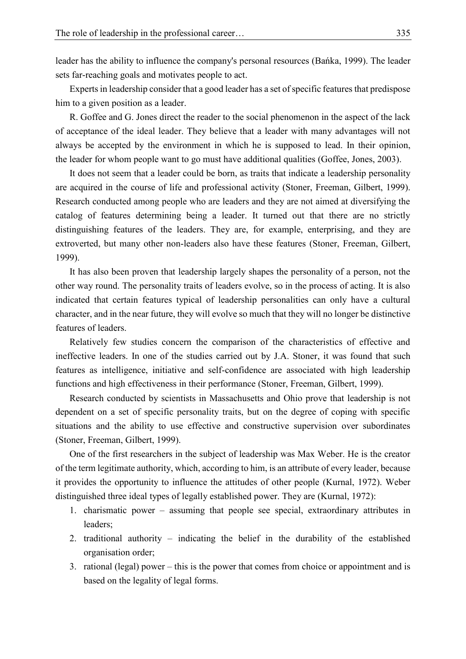leader has the ability to influence the company's personal resources (Bańka, 1999). The leader sets far-reaching goals and motivates people to act.

Experts in leadership consider that a good leader has a set of specific features that predispose him to a given position as a leader.

R. Goffee and G. Jones direct the reader to the social phenomenon in the aspect of the lack of acceptance of the ideal leader. They believe that a leader with many advantages will not always be accepted by the environment in which he is supposed to lead. In their opinion, the leader for whom people want to go must have additional qualities (Goffee, Jones, 2003).

It does not seem that a leader could be born, as traits that indicate a leadership personality are acquired in the course of life and professional activity (Stoner, Freeman, Gilbert, 1999). Research conducted among people who are leaders and they are not aimed at diversifying the catalog of features determining being a leader. It turned out that there are no strictly distinguishing features of the leaders. They are, for example, enterprising, and they are extroverted, but many other non-leaders also have these features (Stoner, Freeman, Gilbert, 1999).

It has also been proven that leadership largely shapes the personality of a person, not the other way round. The personality traits of leaders evolve, so in the process of acting. It is also indicated that certain features typical of leadership personalities can only have a cultural character, and in the near future, they will evolve so much that they will no longer be distinctive features of leaders.

Relatively few studies concern the comparison of the characteristics of effective and ineffective leaders. In one of the studies carried out by J.A. Stoner, it was found that such features as intelligence, initiative and self-confidence are associated with high leadership functions and high effectiveness in their performance (Stoner, Freeman, Gilbert, 1999).

Research conducted by scientists in Massachusetts and Ohio prove that leadership is not dependent on a set of specific personality traits, but on the degree of coping with specific situations and the ability to use effective and constructive supervision over subordinates (Stoner, Freeman, Gilbert, 1999).

One of the first researchers in the subject of leadership was Max Weber. He is the creator of the term legitimate authority, which, according to him, is an attribute of every leader, because it provides the opportunity to influence the attitudes of other people (Kurnal, 1972). Weber distinguished three ideal types of legally established power. They are (Kurnal, 1972):

- 1. charismatic power assuming that people see special, extraordinary attributes in leaders;
- 2. traditional authority indicating the belief in the durability of the established organisation order;
- 3. rational (legal) power this is the power that comes from choice or appointment and is based on the legality of legal forms.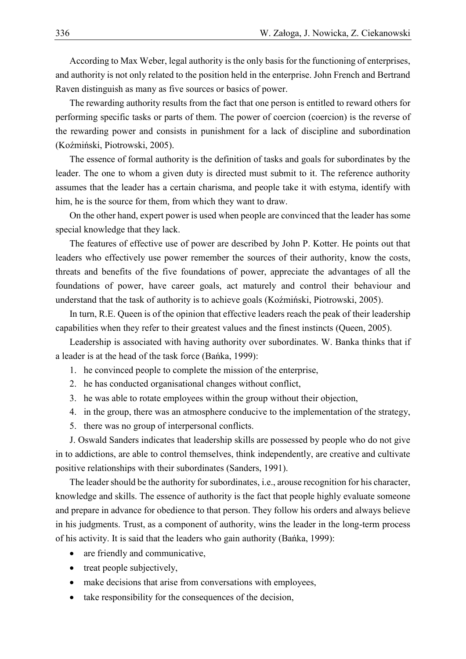According to Max Weber, legal authority is the only basis for the functioning of enterprises, and authority is not only related to the position held in the enterprise. John French and Bertrand Raven distinguish as many as five sources or basics of power.

The rewarding authority results from the fact that one person is entitled to reward others for performing specific tasks or parts of them. The power of coercion (coercion) is the reverse of the rewarding power and consists in punishment for a lack of discipline and subordination (Koźmiński, Piotrowski, 2005).

The essence of formal authority is the definition of tasks and goals for subordinates by the leader. The one to whom a given duty is directed must submit to it. The reference authority assumes that the leader has a certain charisma, and people take it with estyma, identify with him, he is the source for them, from which they want to draw.

On the other hand, expert power is used when people are convinced that the leader has some special knowledge that they lack.

The features of effective use of power are described by John P. Kotter. He points out that leaders who effectively use power remember the sources of their authority, know the costs, threats and benefits of the five foundations of power, appreciate the advantages of all the foundations of power, have career goals, act maturely and control their behaviour and understand that the task of authority is to achieve goals (Koźmiński, Piotrowski, 2005).

In turn, R.E. Queen is of the opinion that effective leaders reach the peak of their leadership capabilities when they refer to their greatest values and the finest instincts (Queen, 2005).

Leadership is associated with having authority over subordinates. W. Banka thinks that if a leader is at the head of the task force (Bańka, 1999):

- 1. he convinced people to complete the mission of the enterprise,
- 2. he has conducted organisational changes without conflict,
- 3. he was able to rotate employees within the group without their objection,
- 4. in the group, there was an atmosphere conducive to the implementation of the strategy,
- 5. there was no group of interpersonal conflicts.

J. Oswald Sanders indicates that leadership skills are possessed by people who do not give in to addictions, are able to control themselves, think independently, are creative and cultivate positive relationships with their subordinates (Sanders, 1991).

The leader should be the authority for subordinates, i.e., arouse recognition for his character, knowledge and skills. The essence of authority is the fact that people highly evaluate someone and prepare in advance for obedience to that person. They follow his orders and always believe in his judgments. Trust, as a component of authority, wins the leader in the long-term process of his activity. It is said that the leaders who gain authority (Bańka, 1999):

- are friendly and communicative,
- treat people subjectively,
- make decisions that arise from conversations with employees,
- take responsibility for the consequences of the decision,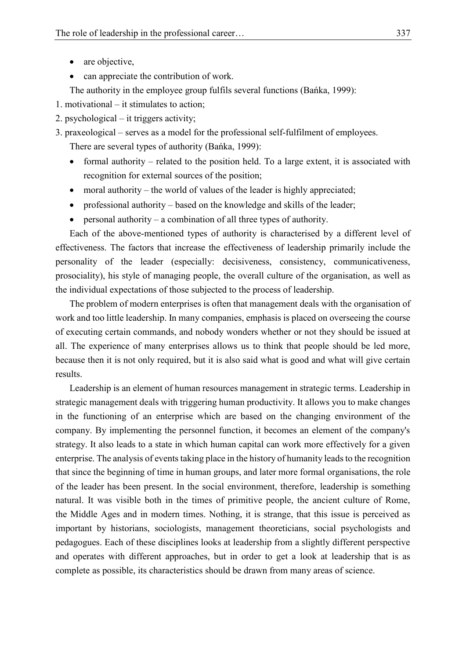- are objective,
- can appreciate the contribution of work.
- The authority in the employee group fulfils several functions (Bańka, 1999):
- 1. motivational it stimulates to action;
- 2. psychological it triggers activity;
- 3. praxeological serves as a model for the professional self-fulfilment of employees. There are several types of authority (Bańka, 1999):
	- formal authority related to the position held. To a large extent, it is associated with recognition for external sources of the position;
	- moral authority the world of values of the leader is highly appreciated;
	- professional authority based on the knowledge and skills of the leader;
	- $\bullet$  personal authority a combination of all three types of authority.

Each of the above-mentioned types of authority is characterised by a different level of effectiveness. The factors that increase the effectiveness of leadership primarily include the personality of the leader (especially: decisiveness, consistency, communicativeness, prosociality), his style of managing people, the overall culture of the organisation, as well as the individual expectations of those subjected to the process of leadership.

The problem of modern enterprises is often that management deals with the organisation of work and too little leadership. In many companies, emphasis is placed on overseeing the course of executing certain commands, and nobody wonders whether or not they should be issued at all. The experience of many enterprises allows us to think that people should be led more, because then it is not only required, but it is also said what is good and what will give certain results.

Leadership is an element of human resources management in strategic terms. Leadership in strategic management deals with triggering human productivity. It allows you to make changes in the functioning of an enterprise which are based on the changing environment of the company. By implementing the personnel function, it becomes an element of the company's strategy. It also leads to a state in which human capital can work more effectively for a given enterprise. The analysis of events taking place in the history of humanity leads to the recognition that since the beginning of time in human groups, and later more formal organisations, the role of the leader has been present. In the social environment, therefore, leadership is something natural. It was visible both in the times of primitive people, the ancient culture of Rome, the Middle Ages and in modern times. Nothing, it is strange, that this issue is perceived as important by historians, sociologists, management theoreticians, social psychologists and pedagogues. Each of these disciplines looks at leadership from a slightly different perspective and operates with different approaches, but in order to get a look at leadership that is as complete as possible, its characteristics should be drawn from many areas of science.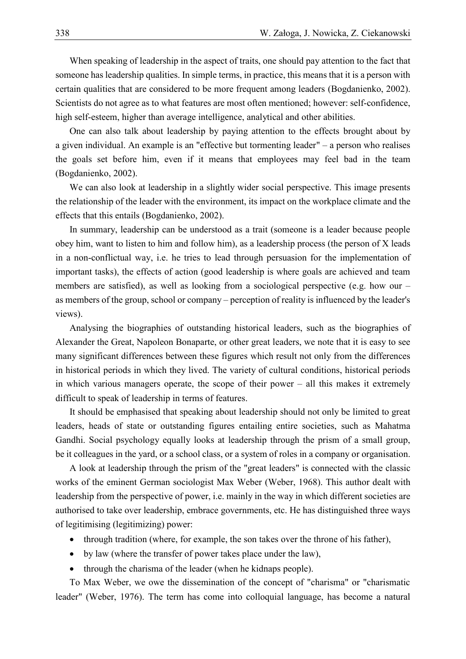When speaking of leadership in the aspect of traits, one should pay attention to the fact that someone has leadership qualities. In simple terms, in practice, this means that it is a person with certain qualities that are considered to be more frequent among leaders (Bogdanienko, 2002). Scientists do not agree as to what features are most often mentioned; however: self-confidence, high self-esteem, higher than average intelligence, analytical and other abilities.

One can also talk about leadership by paying attention to the effects brought about by a given individual. An example is an "effective but tormenting leader" – a person who realises the goals set before him, even if it means that employees may feel bad in the team (Bogdanienko, 2002).

We can also look at leadership in a slightly wider social perspective. This image presents the relationship of the leader with the environment, its impact on the workplace climate and the effects that this entails (Bogdanienko, 2002).

In summary, leadership can be understood as a trait (someone is a leader because people obey him, want to listen to him and follow him), as a leadership process (the person of X leads in a non-conflictual way, i.e. he tries to lead through persuasion for the implementation of important tasks), the effects of action (good leadership is where goals are achieved and team members are satisfied), as well as looking from a sociological perspective (e.g. how our – as members of the group, school or company – perception of reality is influenced by the leader's views).

Analysing the biographies of outstanding historical leaders, such as the biographies of Alexander the Great, Napoleon Bonaparte, or other great leaders, we note that it is easy to see many significant differences between these figures which result not only from the differences in historical periods in which they lived. The variety of cultural conditions, historical periods in which various managers operate, the scope of their power – all this makes it extremely difficult to speak of leadership in terms of features.

It should be emphasised that speaking about leadership should not only be limited to great leaders, heads of state or outstanding figures entailing entire societies, such as Mahatma Gandhi. Social psychology equally looks at leadership through the prism of a small group, be it colleagues in the yard, or a school class, or a system of roles in a company or organisation.

A look at leadership through the prism of the "great leaders" is connected with the classic works of the eminent German sociologist Max Weber (Weber, 1968). This author dealt with leadership from the perspective of power, i.e. mainly in the way in which different societies are authorised to take over leadership, embrace governments, etc. He has distinguished three ways of legitimising (legitimizing) power:

- through tradition (where, for example, the son takes over the throne of his father),
- by law (where the transfer of power takes place under the law),
- through the charisma of the leader (when he kidnaps people).

To Max Weber, we owe the dissemination of the concept of "charisma" or "charismatic leader" (Weber, 1976). The term has come into colloquial language, has become a natural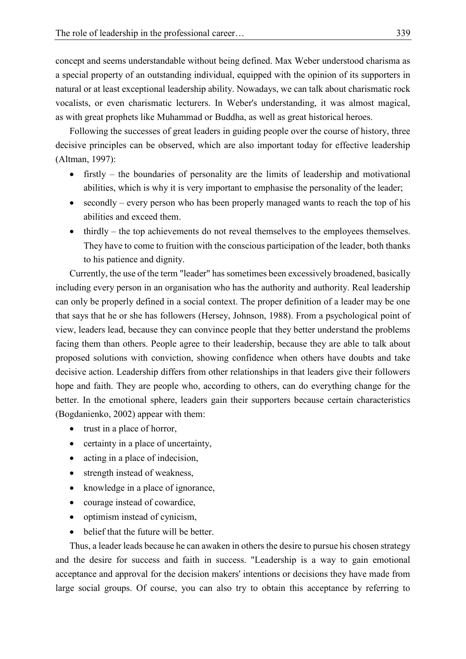concept and seems understandable without being defined. Max Weber understood charisma as a special property of an outstanding individual, equipped with the opinion of its supporters in natural or at least exceptional leadership ability. Nowadays, we can talk about charismatic rock vocalists, or even charismatic lecturers. In Weber's understanding, it was almost magical, as with great prophets like Muhammad or Buddha, as well as great historical heroes.

Following the successes of great leaders in guiding people over the course of history, three decisive principles can be observed, which are also important today for effective leadership (Altman, 1997):

- firstly the boundaries of personality are the limits of leadership and motivational abilities, which is why it is very important to emphasise the personality of the leader;
- $\bullet$  secondly every person who has been properly managed wants to reach the top of his abilities and exceed them.
- thirdly the top achievements do not reveal themselves to the employees themselves. They have to come to fruition with the conscious participation of the leader, both thanks to his patience and dignity.

Currently, the use of the term "leader" has sometimes been excessively broadened, basically including every person in an organisation who has the authority and authority. Real leadership can only be properly defined in a social context. The proper definition of a leader may be one that says that he or she has followers (Hersey, Johnson, 1988). From a psychological point of view, leaders lead, because they can convince people that they better understand the problems facing them than others. People agree to their leadership, because they are able to talk about proposed solutions with conviction, showing confidence when others have doubts and take decisive action. Leadership differs from other relationships in that leaders give their followers hope and faith. They are people who, according to others, can do everything change for the better. In the emotional sphere, leaders gain their supporters because certain characteristics (Bogdanienko, 2002) appear with them:

- trust in a place of horror,
- certainty in a place of uncertainty,
- acting in a place of indecision,
- strength instead of weakness,
- knowledge in a place of ignorance,
- courage instead of cowardice,
- optimism instead of cynicism,
- belief that the future will be better.

Thus, a leader leads because he can awaken in others the desire to pursue his chosen strategy and the desire for success and faith in success. "Leadership is a way to gain emotional acceptance and approval for the decision makers' intentions or decisions they have made from large social groups. Of course, you can also try to obtain this acceptance by referring to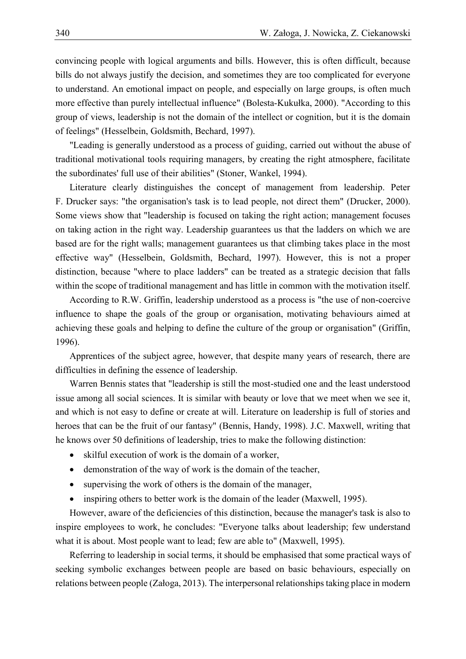convincing people with logical arguments and bills. However, this is often difficult, because bills do not always justify the decision, and sometimes they are too complicated for everyone to understand. An emotional impact on people, and especially on large groups, is often much more effective than purely intellectual influence" (Bolesta-Kukułka, 2000). "According to this group of views, leadership is not the domain of the intellect or cognition, but it is the domain of feelings" (Hesselbein, Goldsmith, Bechard, 1997).

"Leading is generally understood as a process of guiding, carried out without the abuse of traditional motivational tools requiring managers, by creating the right atmosphere, facilitate the subordinates' full use of their abilities" (Stoner, Wankel, 1994).

Literature clearly distinguishes the concept of management from leadership. Peter F. Drucker says: "the organisation's task is to lead people, not direct them" (Drucker, 2000). Some views show that "leadership is focused on taking the right action; management focuses on taking action in the right way. Leadership guarantees us that the ladders on which we are based are for the right walls; management guarantees us that climbing takes place in the most effective way" (Hesselbein, Goldsmith, Bechard, 1997). However, this is not a proper distinction, because "where to place ladders" can be treated as a strategic decision that falls within the scope of traditional management and has little in common with the motivation itself.

According to R.W. Griffin, leadership understood as a process is "the use of non-coercive influence to shape the goals of the group or organisation, motivating behaviours aimed at achieving these goals and helping to define the culture of the group or organisation" (Griffin, 1996).

Apprentices of the subject agree, however, that despite many years of research, there are difficulties in defining the essence of leadership.

Warren Bennis states that "leadership is still the most-studied one and the least understood issue among all social sciences. It is similar with beauty or love that we meet when we see it, and which is not easy to define or create at will. Literature on leadership is full of stories and heroes that can be the fruit of our fantasy" (Bennis, Handy, 1998). J.C. Maxwell, writing that he knows over 50 definitions of leadership, tries to make the following distinction:

- skilful execution of work is the domain of a worker,
- demonstration of the way of work is the domain of the teacher,
- supervising the work of others is the domain of the manager,
- inspiring others to better work is the domain of the leader (Maxwell, 1995).

However, aware of the deficiencies of this distinction, because the manager's task is also to inspire employees to work, he concludes: "Everyone talks about leadership; few understand what it is about. Most people want to lead; few are able to" (Maxwell, 1995).

Referring to leadership in social terms, it should be emphasised that some practical ways of seeking symbolic exchanges between people are based on basic behaviours, especially on relations between people (Załoga, 2013). The interpersonal relationships taking place in modern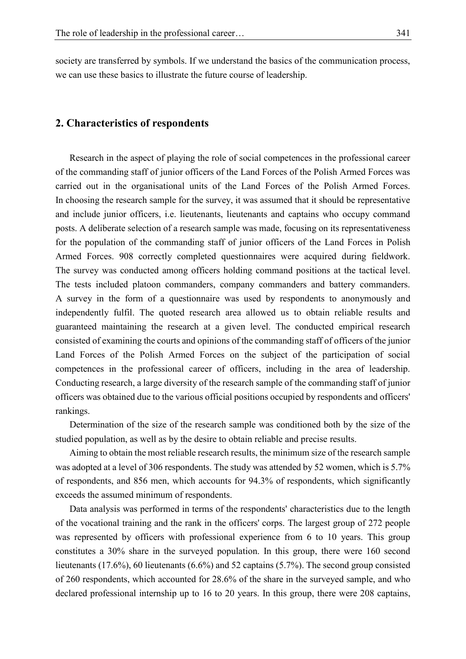society are transferred by symbols. If we understand the basics of the communication process, we can use these basics to illustrate the future course of leadership.

#### **2. Characteristics of respondents**

Research in the aspect of playing the role of social competences in the professional career of the commanding staff of junior officers of the Land Forces of the Polish Armed Forces was carried out in the organisational units of the Land Forces of the Polish Armed Forces. In choosing the research sample for the survey, it was assumed that it should be representative and include junior officers, i.e. lieutenants, lieutenants and captains who occupy command posts. A deliberate selection of a research sample was made, focusing on its representativeness for the population of the commanding staff of junior officers of the Land Forces in Polish Armed Forces. 908 correctly completed questionnaires were acquired during fieldwork. The survey was conducted among officers holding command positions at the tactical level. The tests included platoon commanders, company commanders and battery commanders. A survey in the form of a questionnaire was used by respondents to anonymously and independently fulfil. The quoted research area allowed us to obtain reliable results and guaranteed maintaining the research at a given level. The conducted empirical research consisted of examining the courts and opinions of the commanding staff of officers of the junior Land Forces of the Polish Armed Forces on the subject of the participation of social competences in the professional career of officers, including in the area of leadership. Conducting research, a large diversity of the research sample of the commanding staff of junior officers was obtained due to the various official positions occupied by respondents and officers' rankings.

Determination of the size of the research sample was conditioned both by the size of the studied population, as well as by the desire to obtain reliable and precise results.

Aiming to obtain the most reliable research results, the minimum size of the research sample was adopted at a level of 306 respondents. The study was attended by 52 women, which is 5.7% of respondents, and 856 men, which accounts for 94.3% of respondents, which significantly exceeds the assumed minimum of respondents.

Data analysis was performed in terms of the respondents' characteristics due to the length of the vocational training and the rank in the officers' corps. The largest group of 272 people was represented by officers with professional experience from 6 to 10 years. This group constitutes a 30% share in the surveyed population. In this group, there were 160 second lieutenants (17.6%), 60 lieutenants (6.6%) and 52 captains (5.7%). The second group consisted of 260 respondents, which accounted for 28.6% of the share in the surveyed sample, and who declared professional internship up to 16 to 20 years. In this group, there were 208 captains,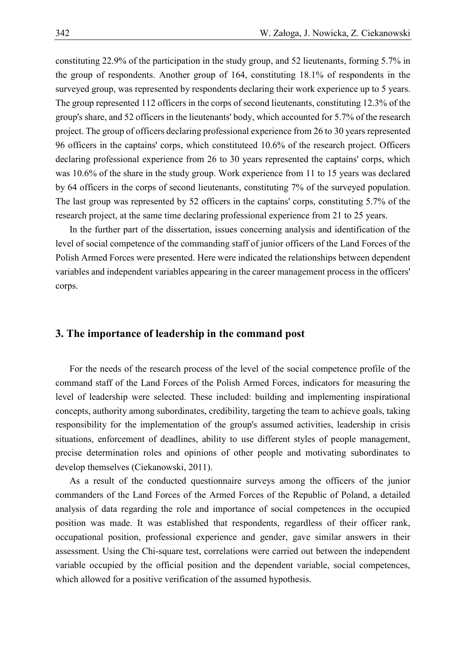constituting 22.9% of the participation in the study group, and 52 lieutenants, forming 5.7% in the group of respondents. Another group of 164, constituting 18.1% of respondents in the surveyed group, was represented by respondents declaring their work experience up to 5 years. The group represented 112 officers in the corps of second lieutenants, constituting 12.3% of the group's share, and 52 officers in the lieutenants' body, which accounted for 5.7% of the research project. The group of officers declaring professional experience from 26 to 30 years represented 96 officers in the captains' corps, which constituteed 10.6% of the research project. Officers declaring professional experience from 26 to 30 years represented the captains' corps, which was 10.6% of the share in the study group. Work experience from 11 to 15 years was declared by 64 officers in the corps of second lieutenants, constituting 7% of the surveyed population. The last group was represented by 52 officers in the captains' corps, constituting 5.7% of the research project, at the same time declaring professional experience from 21 to 25 years.

In the further part of the dissertation, issues concerning analysis and identification of the level of social competence of the commanding staff of junior officers of the Land Forces of the Polish Armed Forces were presented. Here were indicated the relationships between dependent variables and independent variables appearing in the career management process in the officers' corps.

## **3. The importance of leadership in the command post**

For the needs of the research process of the level of the social competence profile of the command staff of the Land Forces of the Polish Armed Forces, indicators for measuring the level of leadership were selected. These included: building and implementing inspirational concepts, authority among subordinates, credibility, targeting the team to achieve goals, taking responsibility for the implementation of the group's assumed activities, leadership in crisis situations, enforcement of deadlines, ability to use different styles of people management, precise determination roles and opinions of other people and motivating subordinates to develop themselves (Ciekanowski, 2011).

As a result of the conducted questionnaire surveys among the officers of the junior commanders of the Land Forces of the Armed Forces of the Republic of Poland, a detailed analysis of data regarding the role and importance of social competences in the occupied position was made. It was established that respondents, regardless of their officer rank, occupational position, professional experience and gender, gave similar answers in their assessment. Using the Chi-square test, correlations were carried out between the independent variable occupied by the official position and the dependent variable, social competences, which allowed for a positive verification of the assumed hypothesis.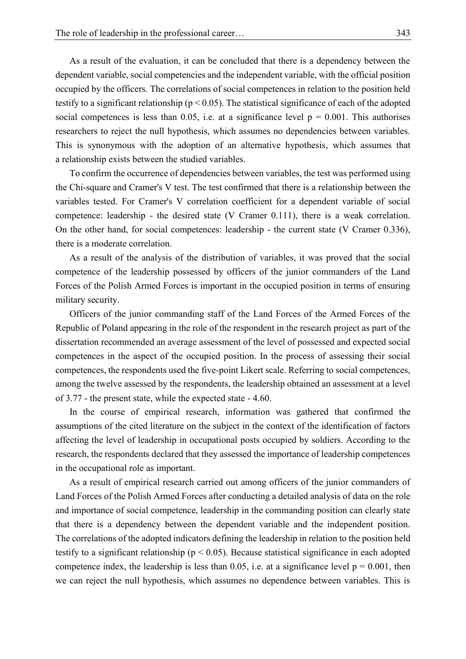As a result of the evaluation, it can be concluded that there is a dependency between the dependent variable, social competencies and the independent variable, with the official position occupied by the officers. The correlations of social competences in relation to the position held testify to a significant relationship ( $p < 0.05$ ). The statistical significance of each of the adopted social competences is less than 0.05, i.e. at a significance level  $p = 0.001$ . This authorises researchers to reject the null hypothesis, which assumes no dependencies between variables. This is synonymous with the adoption of an alternative hypothesis, which assumes that a relationship exists between the studied variables.

To confirm the occurrence of dependencies between variables, the test was performed using the Chi-square and Cramer's V test. The test confirmed that there is a relationship between the variables tested. For Cramer's V correlation coefficient for a dependent variable of social competence: leadership - the desired state (V Cramer 0.111), there is a weak correlation. On the other hand, for social competences: leadership - the current state (V Cramer 0.336), there is a moderate correlation.

As a result of the analysis of the distribution of variables, it was proved that the social competence of the leadership possessed by officers of the junior commanders of the Land Forces of the Polish Armed Forces is important in the occupied position in terms of ensuring military security.

Officers of the junior commanding staff of the Land Forces of the Armed Forces of the Republic of Poland appearing in the role of the respondent in the research project as part of the dissertation recommended an average assessment of the level of possessed and expected social competences in the aspect of the occupied position. In the process of assessing their social competences, the respondents used the five-point Likert scale. Referring to social competences, among the twelve assessed by the respondents, the leadership obtained an assessment at a level of 3.77 - the present state, while the expected state - 4.60.

In the course of empirical research, information was gathered that confirmed the assumptions of the cited literature on the subject in the context of the identification of factors affecting the level of leadership in occupational posts occupied by soldiers. According to the research, the respondents declared that they assessed the importance of leadership competences in the occupational role as important.

As a result of empirical research carried out among officers of the junior commanders of Land Forces of the Polish Armed Forces after conducting a detailed analysis of data on the role and importance of social competence, leadership in the commanding position can clearly state that there is a dependency between the dependent variable and the independent position. The correlations of the adopted indicators defining the leadership in relation to the position held testify to a significant relationship ( $p < 0.05$ ). Because statistical significance in each adopted competence index, the leadership is less than 0.05, i.e. at a significance level  $p = 0.001$ , then we can reject the null hypothesis, which assumes no dependence between variables. This is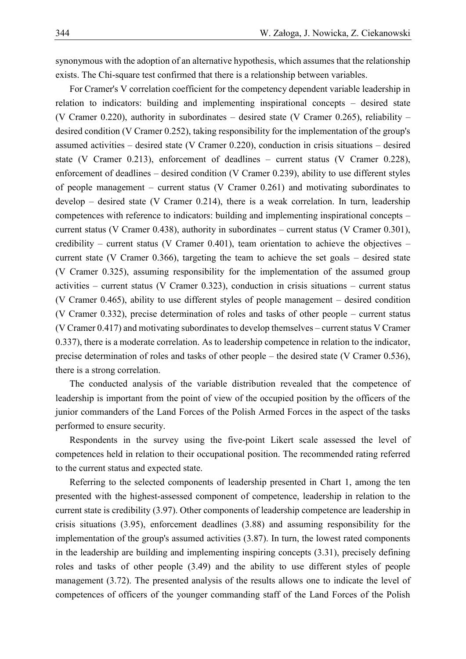synonymous with the adoption of an alternative hypothesis, which assumes that the relationship exists. The Chi-square test confirmed that there is a relationship between variables.

For Cramer's V correlation coefficient for the competency dependent variable leadership in relation to indicators: building and implementing inspirational concepts – desired state (V Cramer 0.220), authority in subordinates – desired state (V Cramer 0.265), reliability – desired condition (V Cramer 0.252), taking responsibility for the implementation of the group's assumed activities – desired state (V Cramer 0.220), conduction in crisis situations – desired state (V Cramer 0.213), enforcement of deadlines – current status (V Cramer 0.228), enforcement of deadlines – desired condition (V Cramer 0.239), ability to use different styles of people management – current status (V Cramer 0.261) and motivating subordinates to develop – desired state (V Cramer 0.214), there is a weak correlation. In turn, leadership competences with reference to indicators: building and implementing inspirational concepts – current status (V Cramer 0.438), authority in subordinates – current status (V Cramer 0.301), credibility – current status (V Cramer 0.401), team orientation to achieve the objectives – current state (V Cramer 0.366), targeting the team to achieve the set goals – desired state (V Cramer 0.325), assuming responsibility for the implementation of the assumed group activities – current status (V Cramer 0.323), conduction in crisis situations – current status (V Cramer 0.465), ability to use different styles of people management – desired condition (V Cramer 0.332), precise determination of roles and tasks of other people – current status (V Cramer 0.417) and motivating subordinates to develop themselves – current status V Cramer 0.337), there is a moderate correlation. As to leadership competence in relation to the indicator, precise determination of roles and tasks of other people – the desired state (V Cramer 0.536), there is a strong correlation.

The conducted analysis of the variable distribution revealed that the competence of leadership is important from the point of view of the occupied position by the officers of the junior commanders of the Land Forces of the Polish Armed Forces in the aspect of the tasks performed to ensure security.

Respondents in the survey using the five-point Likert scale assessed the level of competences held in relation to their occupational position. The recommended rating referred to the current status and expected state.

Referring to the selected components of leadership presented in Chart 1, among the ten presented with the highest-assessed component of competence, leadership in relation to the current state is credibility (3.97). Other components of leadership competence are leadership in crisis situations (3.95), enforcement deadlines (3.88) and assuming responsibility for the implementation of the group's assumed activities (3.87). In turn, the lowest rated components in the leadership are building and implementing inspiring concepts (3.31), precisely defining roles and tasks of other people (3.49) and the ability to use different styles of people management (3.72). The presented analysis of the results allows one to indicate the level of competences of officers of the younger commanding staff of the Land Forces of the Polish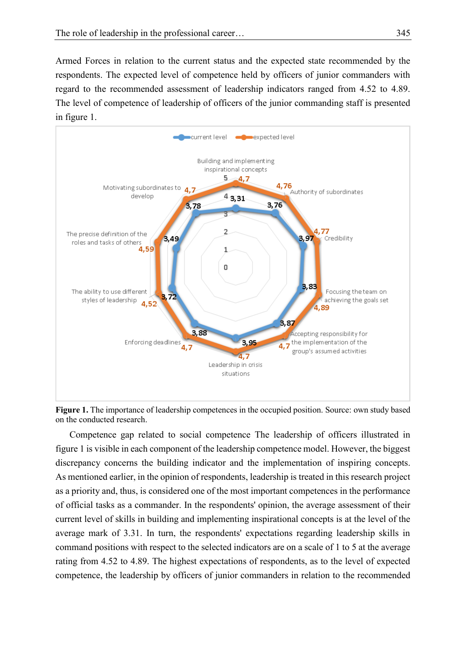Armed Forces in relation to the current status and the expected state recommended by the respondents. The expected level of competence held by officers of junior commanders with regard to the recommended assessment of leadership indicators ranged from 4.52 to 4.89. The level of competence of leadership of officers of the junior commanding staff is presented in figure 1.



**Figure 1.** The importance of leadership competences in the occupied position. Source: own study based on the conducted research.

Competence gap related to social competence The leadership of officers illustrated in figure 1 is visible in each component of the leadership competence model. However, the biggest discrepancy concerns the building indicator and the implementation of inspiring concepts. As mentioned earlier, in the opinion of respondents, leadership is treated in this research project as a priority and, thus, is considered one of the most important competences in the performance of official tasks as a commander. In the respondents' opinion, the average assessment of their current level of skills in building and implementing inspirational concepts is at the level of the average mark of 3.31. In turn, the respondents' expectations regarding leadership skills in command positions with respect to the selected indicators are on a scale of 1 to 5 at the average rating from 4.52 to 4.89. The highest expectations of respondents, as to the level of expected competence, the leadership by officers of junior commanders in relation to the recommended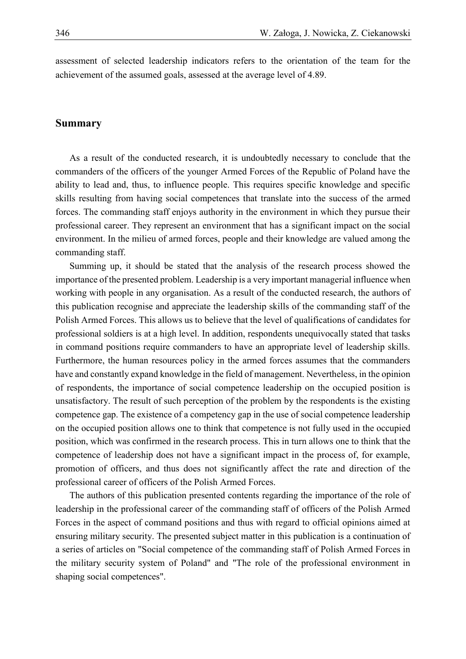assessment of selected leadership indicators refers to the orientation of the team for the achievement of the assumed goals, assessed at the average level of 4.89.

#### **Summary**

As a result of the conducted research, it is undoubtedly necessary to conclude that the commanders of the officers of the younger Armed Forces of the Republic of Poland have the ability to lead and, thus, to influence people. This requires specific knowledge and specific skills resulting from having social competences that translate into the success of the armed forces. The commanding staff enjoys authority in the environment in which they pursue their professional career. They represent an environment that has a significant impact on the social environment. In the milieu of armed forces, people and their knowledge are valued among the commanding staff.

Summing up, it should be stated that the analysis of the research process showed the importance of the presented problem. Leadership is a very important managerial influence when working with people in any organisation. As a result of the conducted research, the authors of this publication recognise and appreciate the leadership skills of the commanding staff of the Polish Armed Forces. This allows us to believe that the level of qualifications of candidates for professional soldiers is at a high level. In addition, respondents unequivocally stated that tasks in command positions require commanders to have an appropriate level of leadership skills. Furthermore, the human resources policy in the armed forces assumes that the commanders have and constantly expand knowledge in the field of management. Nevertheless, in the opinion of respondents, the importance of social competence leadership on the occupied position is unsatisfactory. The result of such perception of the problem by the respondents is the existing competence gap. The existence of a competency gap in the use of social competence leadership on the occupied position allows one to think that competence is not fully used in the occupied position, which was confirmed in the research process. This in turn allows one to think that the competence of leadership does not have a significant impact in the process of, for example, promotion of officers, and thus does not significantly affect the rate and direction of the professional career of officers of the Polish Armed Forces.

The authors of this publication presented contents regarding the importance of the role of leadership in the professional career of the commanding staff of officers of the Polish Armed Forces in the aspect of command positions and thus with regard to official opinions aimed at ensuring military security. The presented subject matter in this publication is a continuation of a series of articles on "Social competence of the commanding staff of Polish Armed Forces in the military security system of Poland" and "The role of the professional environment in shaping social competences".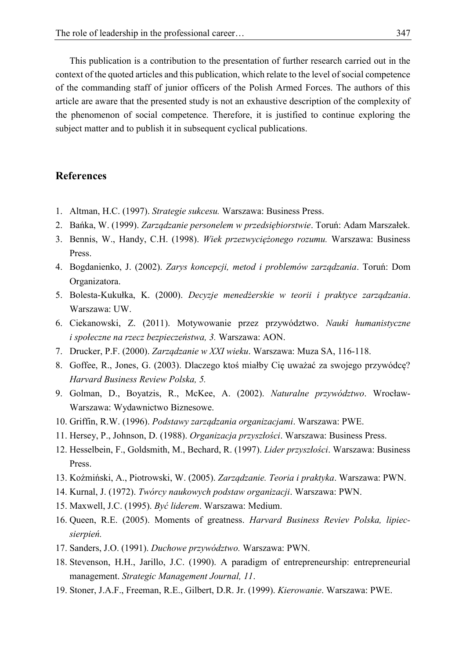This publication is a contribution to the presentation of further research carried out in the context of the quoted articles and this publication, which relate to the level of social competence of the commanding staff of junior officers of the Polish Armed Forces. The authors of this article are aware that the presented study is not an exhaustive description of the complexity of the phenomenon of social competence. Therefore, it is justified to continue exploring the subject matter and to publish it in subsequent cyclical publications.

### **References**

- 1. Altman, H.C. (1997). *Strategie sukcesu.* Warszawa: Business Press.
- 2. Bańka, W. (1999). *Zarządzanie personelem w przedsiębiorstwie*. Toruń: Adam Marszałek.
- 3. Bennis, W., Handy, C.H. (1998). *Wiek przezwyciężonego rozumu.* Warszawa: Business Press.
- 4. Bogdanienko, J. (2002). *Zarys koncepcji, metod i problemów zarządzania*. Toruń: Dom Organizatora.
- 5. Bolesta-Kukułka, K. (2000). *Decyzje menedżerskie w teorii i praktyce zarządzania*. Warszawa: UW.
- 6. Ciekanowski, Z. (2011). Motywowanie przez przywództwo. *Nauki humanistyczne i społeczne na rzecz bezpieczeństwa, 3.* Warszawa: AON.
- 7. Drucker, P.F. (2000). *Zarządzanie w XXI wieku*. Warszawa: Muza SA, 116-118.
- 8. Goffee, R., Jones, G. (2003). Dlaczego ktoś miałby Cię uważać za swojego przywódcę? *Harvard Business Review Polska, 5.*
- 9. Golman, D., Boyatzis, R., McKee, A. (2002). *Naturalne przywództwo*. Wrocław-Warszawa: Wydawnictwo Biznesowe.
- 10. Griffin, R.W. (1996). *Podstawy zarządzania organizacjami*. Warszawa: PWE.
- 11. Hersey, P., Johnson, D. (1988). *Organizacja przyszłości*. Warszawa: Business Press.
- 12. Hesselbein, F., Goldsmith, M., Bechard, R. (1997). *Lider przyszłości*. Warszawa: Business Press.
- 13. Koźmiński, A., Piotrowski, W. (2005). *Zarządzanie. Teoria i praktyka*. Warszawa: PWN.
- 14. Kurnal, J. (1972). *Twórcy naukowych podstaw organizacji*. Warszawa: PWN.
- 15. Maxwell, J.C. (1995). *Być liderem*. Warszawa: Medium.
- 16. Queen, R.E. (2005). Moments of greatness. *Harvard Business Reviev Polska, lipiecsierpień.*
- 17. Sanders, J.O. (1991). *Duchowe przywództwo.* Warszawa: PWN.
- 18. Stevenson, H.H., Jarillo, J.C. (1990). A paradigm of entrepreneurship: entrepreneurial management. *Strategic Management Journal, 11*.
- 19. Stoner, J.A.F., Freeman, R.E., Gilbert, D.R. Jr. (1999). *Kierowanie*. Warszawa: PWE.